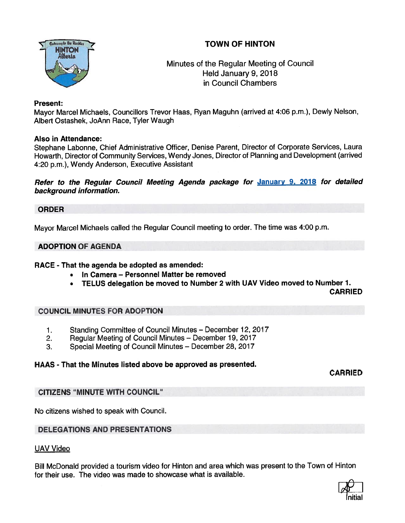# TOWN OF HINTON



# Minutes of the Regular Meeting of Council Held January 9, 2018 in Council Chambers

## Present:

Mayor Marcel Michaels, Counciliors Trevor Haas, Ryan Maguhn (arrived at 4:06 p.m.), Dewly Nelson, Albert Ostashek, JoAnn Race, Tyler Waugh

## Also in Attendance:

Stephane Labonne, Chief Administrative Officer, Denise Parent, Director of Corporate Services, Laura Howarth, Director of Community Services, Wendy Jones, Director of Planning and Development (arrived 4:20 p.m.), Wendy Anderson, Executive Assistant

Refer to the Regular Council Meeting Agenda package for January 9, 2018 for detailed background information.

### ORDER

Mayor Marcel Michaels called the Regular Council meeting to order. The time was 4:00 p.m.

## ADOPTION OF AGENDA

### RACE - That the agenda be adopted as amended:

- In Camera Personnel Matter be removed
- •TELUS delegation be moved to Number <sup>2</sup> with UAV Video moved to Number 1.

CARRIED

### COUNCIL MINUTES FOR ADOPTION

- 1. Standing Committee of Council Minutes December 12, 2017
- 2. Regular Meeting of Council Minutes December 19, 2017
- 3. Special Meeting of Council Minutes December 28, 2017

# HAAS - That the Minutes listed above be approved as presented.

CARRIED

# CITIZENS "MINUTE WITH COUNCIL'

No citizens wished to speak with Council.

# DELEGATIONS AND PRESENTATIONS

### UAV Video

Bill McDonald provided <sup>a</sup> tourism video for Hinton and area which was presen<sup>t</sup> to the Town of Hinton tor their use. The video was made to showcase what is available.

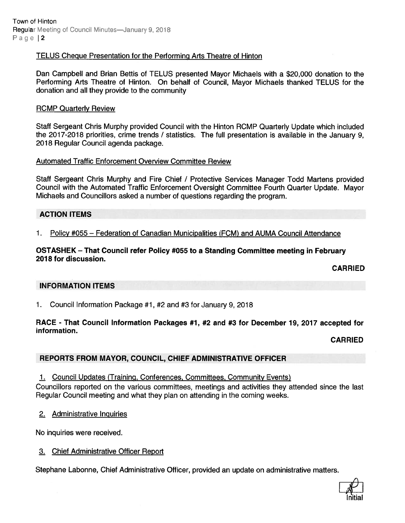Town of Hinton Regular Meeting of Council Minutes—January 9, 2018 Page 12

### TELUS Cheque Presentation for the Performing Arts Theatre of Hinton

Dan Campbell and Brian Bettis of TELUS presented Mayor Michaels with <sup>a</sup> \$20,000 donation to the Performing Arts Theatre of Hinton. On behalf of Council, Mayor Michaels thanked TELUS for the donation and all they provide to the community

#### **RCMP Quarterly Review**

Staff Sergeant Chris Murphy provided Council with the Hinton RCMP Quarterly Update which included the 2017-2018 priorities, crime trends / statistics. The full presentation is available in the January 9, 2018 Regular Council agenda package.

#### Automated Traffic Enforcement Overview Committee Review

Staff Sergeant Chris Murphy and Fire Chief / Protective Services Manager Todd Martens provided Council with the Automated Traffic Enforcement Oversight Committee Fourth Quarter Update. Mayor Michaels and Councillors asked <sup>a</sup> number of questions regarding the program.

## ACTION ITEMS

1. Policy #055 — Federation of Canadian Municipalities (FCM) and AUMA Council Attendance

#### OSTASHEK — That Council refer Policy #055 to <sup>a</sup> Standing Committee meeting in February 2018 for discussion.

CARRIED

### INFORMATION ITEMS

1. Council Information Package #1, #2 and #3 for January 9, 2018

#### RACE - That Council Information Packages #1, #2 and #3 for December 19, 2017 accepted for information.

CARRIED

### REPORTS FROM MAYOR, COUNCIL, CHIEF ADMINISTRATIVE OFFICER

1. Council Updates (Training, Conferences, Committees, Community Events)

Councillors reported on the various committees, meetings and activities they attended since the last Regular Council meeting and what they <sup>p</sup>lan on attending in the coming weeks.

2. Administrative Inquiries

No inquiries were received.

### 3. Chief Administrative Officer Report

Stephane Labonne, Chief Administrative Officer, provided an update on administrative matters.

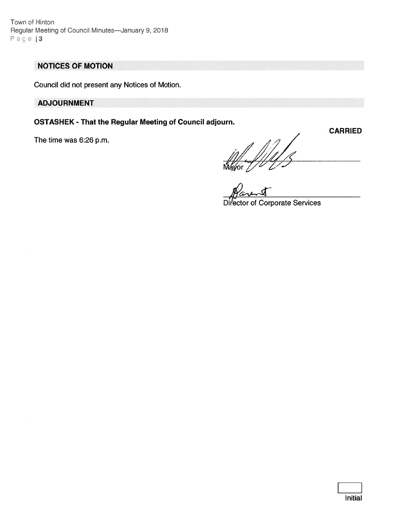Town of Hinton Regular Meeting of Council Minutes—January 9, 2018 Page | 3

# NOTICES OF MOTION

Council did not presen<sup>t</sup> any Notices of Motion.

ADJOURNMENT

OSTASHEK - That the Regular Meeting of Council adjourn.

The time was 6:26 p.m.<br> $\frac{1}{2}$ <br>Mayor  $\frac{1}{2}$ CARRIED

Director of Corporate Services